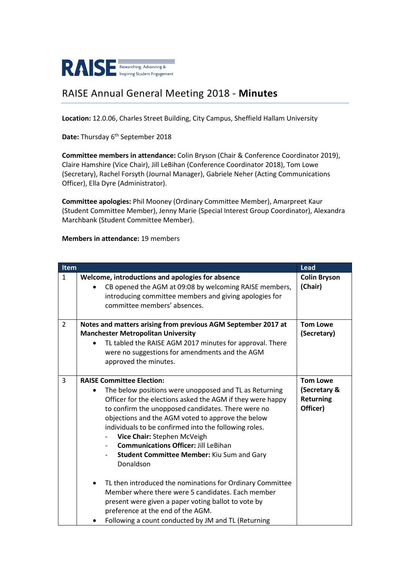

## RAISE Annual General Meeting 2018 - **Minutes**

**Location:** 12.0.06, Charles Street Building, City Campus, Sheffield Hallam University

Date: Thursday 6<sup>th</sup> September 2018

**Committee members in attendance:** Colin Bryson (Chair & Conference Coordinator 2019), Claire Hamshire (Vice Chair), Jill LeBihan (Conference Coordinator 2018), Tom Lowe (Secretary), Rachel Forsyth (Journal Manager), Gabriele Neher (Acting Communications Officer), Ella Dyre (Administrator).

**Committee apologies:** Phil Mooney (Ordinary Committee Member), Amarpreet Kaur (Student Committee Member), Jenny Marie (Special Interest Group Coordinator), Alexandra Marchbank (Student Committee Member).

## **Members in attendance:** 19 members

| <b>Item</b>    |                                                                                                                                                                                                                                                                                                                                                                                                                                                                                           | Lead                                                            |
|----------------|-------------------------------------------------------------------------------------------------------------------------------------------------------------------------------------------------------------------------------------------------------------------------------------------------------------------------------------------------------------------------------------------------------------------------------------------------------------------------------------------|-----------------------------------------------------------------|
| $\mathbf{1}$   | Welcome, introductions and apologies for absence<br>CB opened the AGM at 09:08 by welcoming RAISE members,<br>introducing committee members and giving apologies for<br>committee members' absences.                                                                                                                                                                                                                                                                                      | <b>Colin Bryson</b><br>(Chair)                                  |
| $\overline{2}$ | Notes and matters arising from previous AGM September 2017 at<br><b>Manchester Metropolitan University</b><br>TL tabled the RAISE AGM 2017 minutes for approval. There<br>were no suggestions for amendments and the AGM<br>approved the minutes.                                                                                                                                                                                                                                         | <b>Tom Lowe</b><br>(Secretary)                                  |
| 3              | <b>RAISE Committee Election:</b><br>The below positions were unopposed and TL as Returning<br>$\bullet$<br>Officer for the elections asked the AGM if they were happy<br>to confirm the unopposed candidates. There were no<br>objections and the AGM voted to approve the below<br>individuals to be confirmed into the following roles.<br>Vice Chair: Stephen McVeigh<br><b>Communications Officer: Jill LeBihan</b><br><b>Student Committee Member: Kiu Sum and Gary</b><br>Donaldson | <b>Tom Lowe</b><br>(Secretary &<br><b>Returning</b><br>Officer) |
|                | TL then introduced the nominations for Ordinary Committee<br>Member where there were 5 candidates. Each member<br>present were given a paper voting ballot to vote by<br>preference at the end of the AGM.<br>Following a count conducted by JM and TL (Returning                                                                                                                                                                                                                         |                                                                 |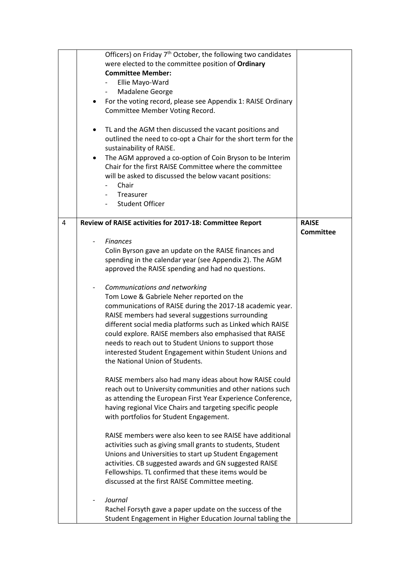|   | Officers) on Friday 7 <sup>th</sup> October, the following two candidates |                  |
|---|---------------------------------------------------------------------------|------------------|
|   | were elected to the committee position of Ordinary                        |                  |
|   | <b>Committee Member:</b>                                                  |                  |
|   |                                                                           |                  |
|   | Ellie Mayo-Ward                                                           |                  |
|   | Madalene George<br>$\overline{\phantom{a}}$                               |                  |
|   | For the voting record, please see Appendix 1: RAISE Ordinary              |                  |
|   | Committee Member Voting Record.                                           |                  |
|   |                                                                           |                  |
|   | TL and the AGM then discussed the vacant positions and<br>٠               |                  |
|   | outlined the need to co-opt a Chair for the short term for the            |                  |
|   | sustainability of RAISE.                                                  |                  |
|   | The AGM approved a co-option of Coin Bryson to be Interim                 |                  |
|   |                                                                           |                  |
|   | Chair for the first RAISE Committee where the committee                   |                  |
|   | will be asked to discussed the below vacant positions:                    |                  |
|   | Chair                                                                     |                  |
|   | Treasurer                                                                 |                  |
|   | <b>Student Officer</b>                                                    |                  |
|   |                                                                           |                  |
| 4 | Review of RAISE activities for 2017-18: Committee Report                  | <b>RAISE</b>     |
|   |                                                                           | <b>Committee</b> |
|   | <b>Finances</b>                                                           |                  |
|   |                                                                           |                  |
|   | Colin Byrson gave an update on the RAISE finances and                     |                  |
|   | spending in the calendar year (see Appendix 2). The AGM                   |                  |
|   | approved the RAISE spending and had no questions.                         |                  |
|   |                                                                           |                  |
|   | Communications and networking                                             |                  |
|   | Tom Lowe & Gabriele Neher reported on the                                 |                  |
|   | communications of RAISE during the 2017-18 academic year.                 |                  |
|   | RAISE members had several suggestions surrounding                         |                  |
|   | different social media platforms such as Linked which RAISE               |                  |
|   | could explore. RAISE members also emphasised that RAISE                   |                  |
|   | needs to reach out to Student Unions to support those                     |                  |
|   | interested Student Engagement within Student Unions and                   |                  |
|   | the National Union of Students.                                           |                  |
|   |                                                                           |                  |
|   |                                                                           |                  |
|   | RAISE members also had many ideas about how RAISE could                   |                  |
|   | reach out to University communities and other nations such                |                  |
|   | as attending the European First Year Experience Conference,               |                  |
|   | having regional Vice Chairs and targeting specific people                 |                  |
|   | with portfolios for Student Engagement.                                   |                  |
|   |                                                                           |                  |
|   | RAISE members were also keen to see RAISE have additional                 |                  |
|   | activities such as giving small grants to students, Student               |                  |
|   | Unions and Universities to start up Student Engagement                    |                  |
|   | activities. CB suggested awards and GN suggested RAISE                    |                  |
|   | Fellowships. TL confirmed that these items would be                       |                  |
|   |                                                                           |                  |
|   | discussed at the first RAISE Committee meeting.                           |                  |
|   |                                                                           |                  |
|   | Journal                                                                   |                  |
|   | Rachel Forsyth gave a paper update on the success of the                  |                  |
|   | Student Engagement in Higher Education Journal tabling the                |                  |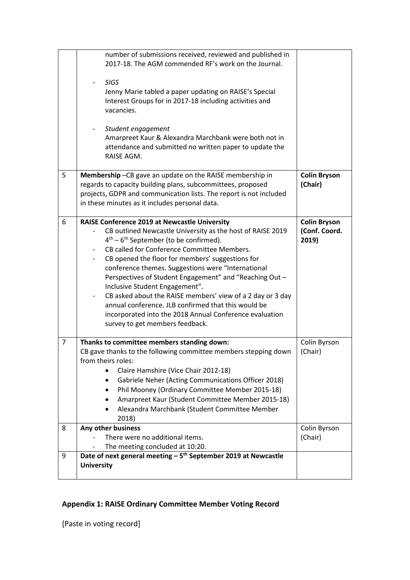|   | number of submissions received, reviewed and published in<br>2017-18. The AGM commended RF's work on the Journal.<br><b>SIGS</b><br>Jenny Marie tabled a paper updating on RAISE's Special<br>Interest Groups for in 2017-18 including activities and<br>vacancies.<br>Student engagement<br>Amarpreet Kaur & Alexandra Marchbank were both not in<br>attendance and submitted no written paper to update the<br>RAISE AGM.                                                                                                                                                                                                             |                                               |
|---|-----------------------------------------------------------------------------------------------------------------------------------------------------------------------------------------------------------------------------------------------------------------------------------------------------------------------------------------------------------------------------------------------------------------------------------------------------------------------------------------------------------------------------------------------------------------------------------------------------------------------------------------|-----------------------------------------------|
| 5 | Membership-CB gave an update on the RAISE membership in<br>regards to capacity building plans, subcommittees, proposed<br>projects, GDPR and communication lists. The report is not included<br>in these minutes as it includes personal data.                                                                                                                                                                                                                                                                                                                                                                                          | <b>Colin Bryson</b><br>(Chair)                |
| 6 | <b>RAISE Conference 2019 at Newcastle University</b><br>CB outlined Newcastle University as the host of RAISE 2019<br>$4th - 6th$ September (to be confirmed).<br>CB called for Conference Committee Members.<br>CB opened the floor for members' suggestions for<br>conference themes. Suggestions were "International<br>Perspectives of Student Engagement" and "Reaching Out -<br>Inclusive Student Engagement".<br>CB asked about the RAISE members' view of a 2 day or 3 day<br>annual conference. JLB confirmed that this would be<br>incorporated into the 2018 Annual Conference evaluation<br>survey to get members feedback. | <b>Colin Bryson</b><br>(Conf. Coord.<br>2019) |
| 7 | Thanks to committee members standing down:<br>CB gave thanks to the following committee members stepping down<br>from theirs roles:<br>Claire Hamshire (Vice Chair 2012-18)<br>Gabriele Neher (Acting Communications Officer 2018)<br>Phil Mooney (Ordinary Committee Member 2015-18)<br>٠<br>Amarpreet Kaur (Student Committee Member 2015-18)<br>Alexandra Marchbank (Student Committee Member<br>2018)                                                                                                                                                                                                                               | Colin Byrson<br>(Chair)                       |
| 8 | Any other business<br>There were no additional items.<br>The meeting concluded at 10:20.                                                                                                                                                                                                                                                                                                                                                                                                                                                                                                                                                | Colin Byrson<br>(Chair)                       |
| 9 | Date of next general meeting $-5$ <sup>th</sup> September 2019 at Newcastle<br><b>University</b>                                                                                                                                                                                                                                                                                                                                                                                                                                                                                                                                        |                                               |

## **Appendix 1: RAISE Ordinary Committee Member Voting Record**

[Paste in voting record]